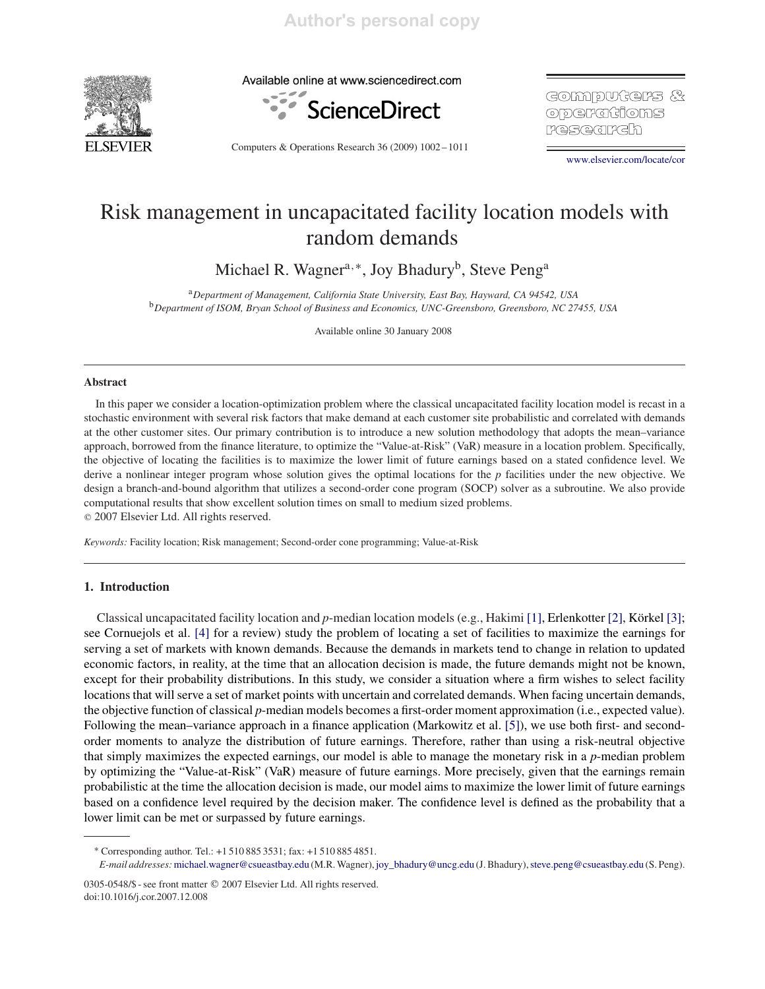

Available online at www.sciencedirect.com



Computers & Operations Research 36 (2009) 1002 – 1011

GOIMpUters & operations

www.elsevier.com/locate/cor

# Risk management in uncapacitated facility location models with random demands

Michael R. Wagner<sup>a,∗</sup>, Joy Bhadury<sup>b</sup>, Steve Peng<sup>a</sup>

<sup>a</sup>*Department of Management, California State University, East Bay, Hayward, CA 94542, USA* <sup>b</sup>*Department of ISOM, Bryan School of Business and Economics, UNC-Greensboro, Greensboro, NC 27455, USA*

Available online 30 January 2008

#### **Abstract**

In this paper we consider a location-optimization problem where the classical uncapacitated facility location model is recast in a stochastic environment with several risk factors that make demand at each customer site probabilistic and correlated with demands at the other customer sites. Our primary contribution is to introduce a new solution methodology that adopts the mean–variance approach, borrowed from the finance literature, to optimize the "Value-at-Risk" (VaR) measure in a location problem. Specifically, the objective of locating the facilities is to maximize the lower limit of future earnings based on a stated confidence level. We derive a nonlinear integer program whose solution gives the optimal locations for the *p* facilities under the new objective. We design a branch-and-bound algorithm that utilizes a second-order cone program (SOCP) solver as a subroutine. We also provide computational results that show excellent solution times on small to medium sized problems.  $Q$  2007 Elsevier Ltd. All rights reserved.

*Keywords:* Facility location; Risk management; Second-order cone programming; Value-at-Risk

# **1. Introduction**

Classical uncapacitated facility location and *p*-median location models (e.g., Hakimi [1], Erlenkotter [2], Körkel [3]; see Cornuejols et al. [4] for a review) study the problem of locating a set of facilities to maximize the earnings for serving a set of markets with known demands. Because the demands in markets tend to change in relation to updated economic factors, in reality, at the time that an allocation decision is made, the future demands might not be known, except for their probability distributions. In this study, we consider a situation where a firm wishes to select facility locations that will serve a set of market points with uncertain and correlated demands. When facing uncertain demands, the objective function of classical *p*-median models becomes a first-order moment approximation (i.e., expected value). Following the mean–variance approach in a finance application (Markowitz et al. [5]), we use both first- and secondorder moments to analyze the distribution of future earnings. Therefore, rather than using a risk-neutral objective that simply maximizes the expected earnings, our model is able to manage the monetary risk in a *p*-median problem by optimizing the "Value-at-Risk" (VaR) measure of future earnings. More precisely, given that the earnings remain probabilistic at the time the allocation decision is made, our model aims to maximize the lower limit of future earnings based on a confidence level required by the decision maker. The confidence level is defined as the probability that a lower limit can be met or surpassed by future earnings.

∗ Corresponding author. Tel.: +1 510 885 3531; fax: +1 510 885 4851.

*E-mail addresses:*michael.wagner@csueastbay.edu (M.R.Wagner), joy\_bhadury@uncg.edu (J. Bhadury),steve.peng@csueastbay.edu (S. Peng).

<sup>0305-0548/\$ -</sup> see front matter © 2007 Elsevier Ltd. All rights reserved. doi:10.1016/j.cor.2007.12.008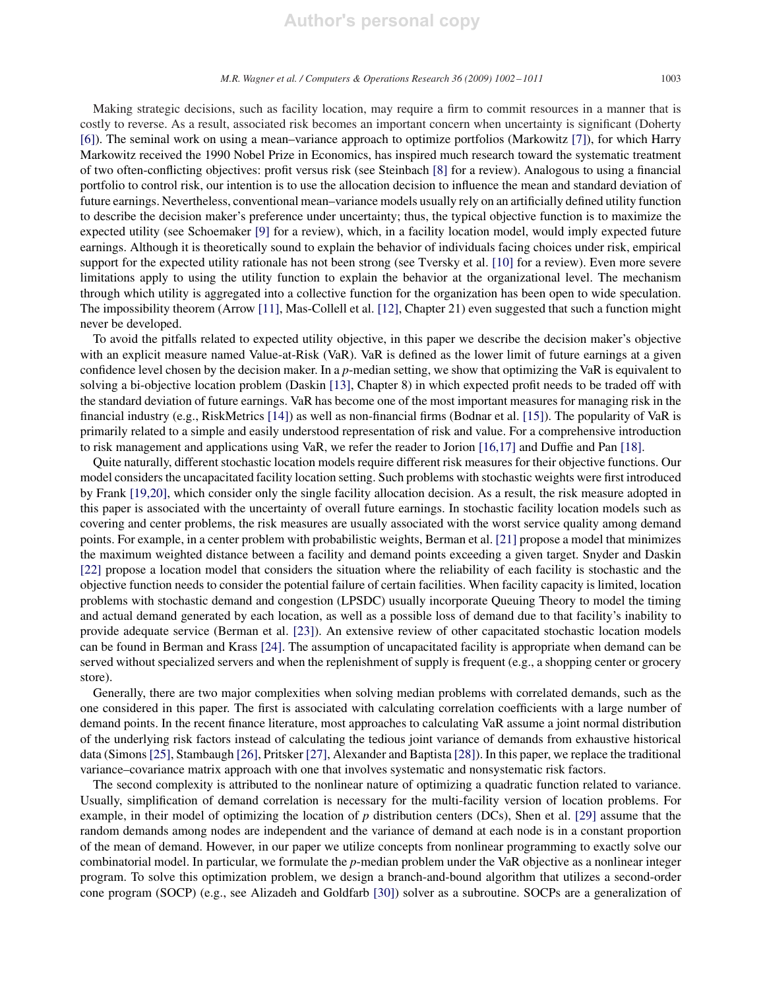Making strategic decisions, such as facility location, may require a firm to commit resources in a manner that is costly to reverse. As a result, associated risk becomes an important concern when uncertainty is significant (Doherty [6]). The seminal work on using a mean–variance approach to optimize portfolios (Markowitz [7]), for which Harry Markowitz received the 1990 Nobel Prize in Economics, has inspired much research toward the systematic treatment of two often-conflicting objectives: profit versus risk (see Steinbach [8] for a review). Analogous to using a financial portfolio to control risk, our intention is to use the allocation decision to influence the mean and standard deviation of future earnings. Nevertheless, conventional mean–variance models usually rely on an artificially defined utility function to describe the decision maker's preference under uncertainty; thus, the typical objective function is to maximize the expected utility (see Schoemaker [9] for a review), which, in a facility location model, would imply expected future earnings. Although it is theoretically sound to explain the behavior of individuals facing choices under risk, empirical support for the expected utility rationale has not been strong (see Tversky et al. [10] for a review). Even more severe limitations apply to using the utility function to explain the behavior at the organizational level. The mechanism through which utility is aggregated into a collective function for the organization has been open to wide speculation. The impossibility theorem (Arrow [11], Mas-Collell et al. [12], Chapter 21) even suggested that such a function might never be developed.

To avoid the pitfalls related to expected utility objective, in this paper we describe the decision maker's objective with an explicit measure named Value-at-Risk (VaR). VaR is defined as the lower limit of future earnings at a given confidence level chosen by the decision maker. In a *p*-median setting, we show that optimizing the VaR is equivalent to solving a bi-objective location problem (Daskin [13], Chapter 8) in which expected profit needs to be traded off with the standard deviation of future earnings. VaR has become one of the most important measures for managing risk in the financial industry (e.g., RiskMetrics [14]) as well as non-financial firms (Bodnar et al. [15]). The popularity of VaR is primarily related to a simple and easily understood representation of risk and value. For a comprehensive introduction to risk management and applications using VaR, we refer the reader to Jorion [16,17] and Duffie and Pan [18].

Quite naturally, different stochastic location models require different risk measures for their objective functions. Our model considers the uncapacitated facility location setting. Such problems with stochastic weights were first introduced by Frank [19,20], which consider only the single facility allocation decision. As a result, the risk measure adopted in this paper is associated with the uncertainty of overall future earnings. In stochastic facility location models such as covering and center problems, the risk measures are usually associated with the worst service quality among demand points. For example, in a center problem with probabilistic weights, Berman et al. [21] propose a model that minimizes the maximum weighted distance between a facility and demand points exceeding a given target. Snyder and Daskin [22] propose a location model that considers the situation where the reliability of each facility is stochastic and the objective function needs to consider the potential failure of certain facilities. When facility capacity is limited, location problems with stochastic demand and congestion (LPSDC) usually incorporate Queuing Theory to model the timing and actual demand generated by each location, as well as a possible loss of demand due to that facility's inability to provide adequate service (Berman et al. [23]). An extensive review of other capacitated stochastic location models can be found in Berman and Krass [24]. The assumption of uncapacitated facility is appropriate when demand can be served without specialized servers and when the replenishment of supply is frequent (e.g., a shopping center or grocery store).

Generally, there are two major complexities when solving median problems with correlated demands, such as the one considered in this paper. The first is associated with calculating correlation coefficients with a large number of demand points. In the recent finance literature, most approaches to calculating VaR assume a joint normal distribution of the underlying risk factors instead of calculating the tedious joint variance of demands from exhaustive historical data (Simons [25], Stambaugh [26], Pritsker [27], Alexander and Baptista [28]). In this paper, we replace the traditional variance–covariance matrix approach with one that involves systematic and nonsystematic risk factors.

The second complexity is attributed to the nonlinear nature of optimizing a quadratic function related to variance. Usually, simplification of demand correlation is necessary for the multi-facility version of location problems. For example, in their model of optimizing the location of *p* distribution centers (DCs), Shen et al. [29] assume that the random demands among nodes are independent and the variance of demand at each node is in a constant proportion of the mean of demand. However, in our paper we utilize concepts from nonlinear programming to exactly solve our combinatorial model. In particular, we formulate the *p*-median problem under the VaR objective as a nonlinear integer program. To solve this optimization problem, we design a branch-and-bound algorithm that utilizes a second-order cone program (SOCP) (e.g., see Alizadeh and Goldfarb [30]) solver as a subroutine. SOCPs are a generalization of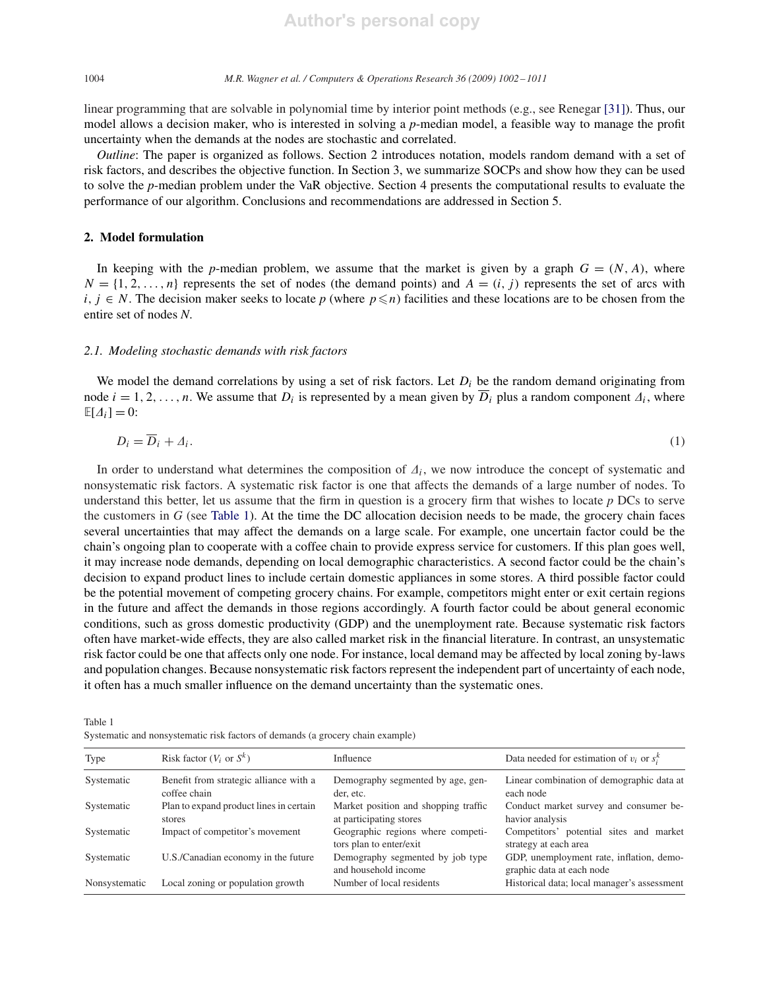linear programming that are solvable in polynomial time by interior point methods (e.g., see Renegar [31]). Thus, our model allows a decision maker, who is interested in solving a *p*-median model, a feasible way to manage the profit uncertainty when the demands at the nodes are stochastic and correlated.

*Outline*: The paper is organized as follows. Section 2 introduces notation, models random demand with a set of risk factors, and describes the objective function. In Section 3, we summarize SOCPs and show how they can be used to solve the *p*-median problem under the VaR objective. Section 4 presents the computational results to evaluate the performance of our algorithm. Conclusions and recommendations are addressed in Section 5.

# **2. Model formulation**

In keeping with the *p*-median problem, we assume that the market is given by a graph  $G = (N, A)$ , where  $N = \{1, 2, \ldots, n\}$  represents the set of nodes (the demand points) and  $A = (i, j)$  represents the set of arcs with *i*, *j* ∈ *N*. The decision maker seeks to locate *p* (where  $p \le n$ ) facilities and these locations are to be chosen from the entire set of nodes *N*.

# *2.1. Modeling stochastic demands with risk factors*

We model the demand correlations by using a set of risk factors. Let  $D_i$  be the random demand originating from node  $i = 1, 2, ..., n$ . We assume that  $D_i$  is represented by a mean given by  $\overline{D}_i$  plus a random component  $\Delta_i$ , where  $\mathbb{E}[A_i] = 0$ :

$$
D_i = \overline{D}_i + \Delta_i. \tag{1}
$$

In order to understand what determines the composition of  $\Delta_i$ , we now introduce the concept of systematic and nonsystematic risk factors. A systematic risk factor is one that affects the demands of a large number of nodes. To understand this better, let us assume that the firm in question is a grocery firm that wishes to locate *p* DCs to serve the customers in  $G$  (see Table 1). At the time the DC allocation decision needs to be made, the grocery chain faces several uncertainties that may affect the demands on a large scale. For example, one uncertain factor could be the chain's ongoing plan to cooperate with a coffee chain to provide express service for customers. If this plan goes well, it may increase node demands, depending on local demographic characteristics. A second factor could be the chain's decision to expand product lines to include certain domestic appliances in some stores. A third possible factor could be the potential movement of competing grocery chains. For example, competitors might enter or exit certain regions in the future and affect the demands in those regions accordingly. A fourth factor could be about general economic conditions, such as gross domestic productivity (GDP) and the unemployment rate. Because systematic risk factors often have market-wide effects, they are also called market risk in the financial literature. In contrast, an unsystematic risk factor could be one that affects only one node. For instance, local demand may be affected by local zoning by-laws and population changes. Because nonsystematic risk factors represent the independent part of uncertainty of each node, it often has a much smaller influence on the demand uncertainty than the systematic ones.

Table 1

| TUUIV 1                                                                        |  |
|--------------------------------------------------------------------------------|--|
| Systematic and nonsystematic risk factors of demands (a grocery chain example) |  |

| Type          | Risk factor $(V_i \text{ or } S^k)$                    | Influence                                                       | Data needed for estimation of $v_i$ or $s_i^k$                        |
|---------------|--------------------------------------------------------|-----------------------------------------------------------------|-----------------------------------------------------------------------|
| Systematic    | Benefit from strategic alliance with a<br>coffee chain | Demography segmented by age, gen-<br>der, etc.                  | Linear combination of demographic data at<br>each node                |
| Systematic    | Plan to expand product lines in certain<br>stores      | Market position and shopping traffic<br>at participating stores | Conduct market survey and consumer be-<br>havior analysis             |
| Systematic    | Impact of competitor's movement                        | Geographic regions where competi-<br>tors plan to enter/exit    | Competitors' potential sites and market<br>strategy at each area      |
| Systematic    | U.S./Canadian economy in the future                    | Demography segmented by job type<br>and household income        | GDP, unemployment rate, inflation, demo-<br>graphic data at each node |
| Nonsystematic | Local zoning or population growth                      | Number of local residents                                       | Historical data; local manager's assessment                           |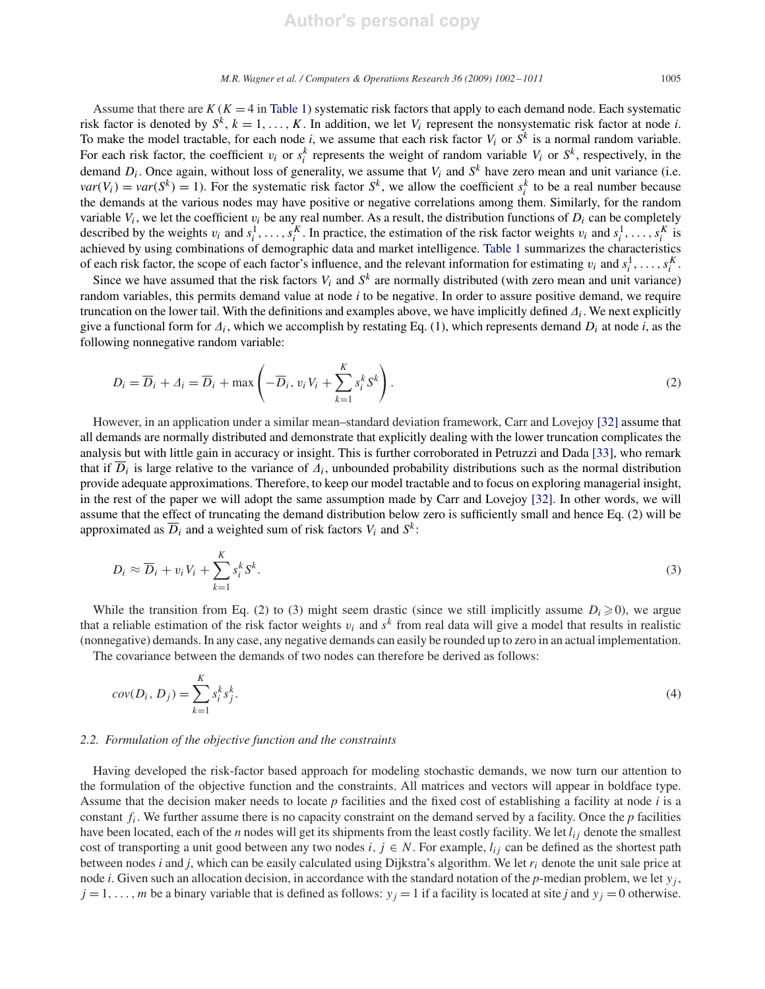Assume that there are  $K$  ( $K = 4$  in Table 1) systematic risk factors that apply to each demand node. Each systematic risk factor is denoted by  $S^k$ ,  $k = 1, ..., K$ . In addition, we let  $V_i$  represent the nonsystematic risk factor at node *i*. To make the model tractable, for each node  $i$ , we assume that each risk factor  $V_i$  or  $S^k$  is a normal random variable. For each risk factor, the coefficient  $v_i$  or  $s_i^k$  represents the weight of random variable  $V_i$  or  $S^k$ , respectively, in the demand  $D_i$ . Once again, without loss of generality, we assume that  $V_i$  and  $S^k$  have zero mean and unit variance (i.e.  $var(V_i) = var(S^k) = 1$ ). For the systematic risk factor  $S^k$ , we allow the coefficient  $s_i^k$  to be a real number because the demands at the various nodes may have positive or negative correlations among them. Similarly, for the random variable  $V_i$ , we let the coefficient  $v_i$  be any real number. As a result, the distribution functions of  $D_i$  can be completely described by the weights  $v_i$  and  $s_i^1, \ldots, s_i^K$ . In practice, the estimation of the risk factor weights  $v_i$  and  $s_i^1, \ldots, s_i^K$  is achieved by using combinations of demographic data and market intelligence. Table 1 summarizes the characteristics of each risk factor, the scope of each factor's influence, and the relevant information for estimating  $v_i$  and  $s_i^1, \ldots, s_i^K$ .

Since we have assumed that the risk factors  $V_i$  and  $S^k$  are normally distributed (with zero mean and unit variance) random variables, this permits demand value at node *i* to be negative. In order to assure positive demand, we require truncation on the lower tail. With the definitions and examples above, we have implicitly defined  $\Lambda_i$ . We next explicitly give a functional form for  $\Lambda_i$ , which we accomplish by restating Eq. (1), which represents demand  $D_i$  at node  $i$ , as the following nonnegative random variable:

$$
D_i = \overline{D}_i + A_i = \overline{D}_i + \max\left(-\overline{D}_i, v_i V_i + \sum_{k=1}^K s_i^k S^k\right).
$$
\n(2)

However, in an application under a similar mean–standard deviation framework, Carr and Lovejoy [32] assume that all demands are normally distributed and demonstrate that explicitly dealing with the lower truncation complicates the analysis but with little gain in accuracy or insight. This is further corroborated in Petruzzi and Dada [33], who remark that if  $\overline{D}_i$  is large relative to the variance of  $\overline{A}_i$ , unbounded probability distributions such as the normal distribution provide adequate approximations. Therefore, to keep our model tractable and to focus on exploring managerial insight, in the rest of the paper we will adopt the same assumption made by Carr and Lovejoy [32]. In other words, we will assume that the effect of truncating the demand distribution below zero is sufficiently small and hence Eq. (2) will be approximated as  $\overline{D}_i$  and a weighted sum of risk factors  $V_i$  and  $S^k$ :

$$
D_i \approx \overline{D}_i + v_i V_i + \sum_{k=1}^K s_i^k S^k.
$$
\n(3)

While the transition from Eq. (2) to (3) might seem drastic (since we still implicitly assume  $D_i \ge 0$ ), we argue that a reliable estimation of the risk factor weights  $v_i$  and  $s^k$  from real data will give a model that results in realistic (nonnegative) demands. In any case, any negative demands can easily be rounded up to zero in an actual implementation.

The covariance between the demands of two nodes can therefore be derived as follows:

$$
cov(D_i, D_j) = \sum_{k=1}^{K} s_i^k s_j^k.
$$
\n(4)

# *2.2. Formulation of the objective function and the constraints*

Having developed the risk-factor based approach for modeling stochastic demands, we now turn our attention to the formulation of the objective function and the constraints. All matrices and vectors will appear in boldface type. Assume that the decision maker needs to locate *p* facilities and the fixed cost of establishing a facility at node *i* is a constant  $f_i$ . We further assume there is no capacity constraint on the demand served by a facility. Once the  $p$  facilities have been located, each of the *n* nodes will get its shipments from the least costly facility. We let  $l_{ij}$  denote the smallest cost of transporting a unit good between any two nodes  $i, j \in N$ . For example,  $l_{ij}$  can be defined as the shortest path between nodes *i* and *j*, which can be easily calculated using Dijkstra's algorithm. We let  $r_i$  denote the unit sale price at node *i*. Given such an allocation decision, in accordance with the standard notation of the *p*-median problem, we let  $y_j$ ,  $j = 1, \ldots, m$  be a binary variable that is defined as follows:  $y_j = 1$  if a facility is located at site *j* and  $y_j = 0$  otherwise.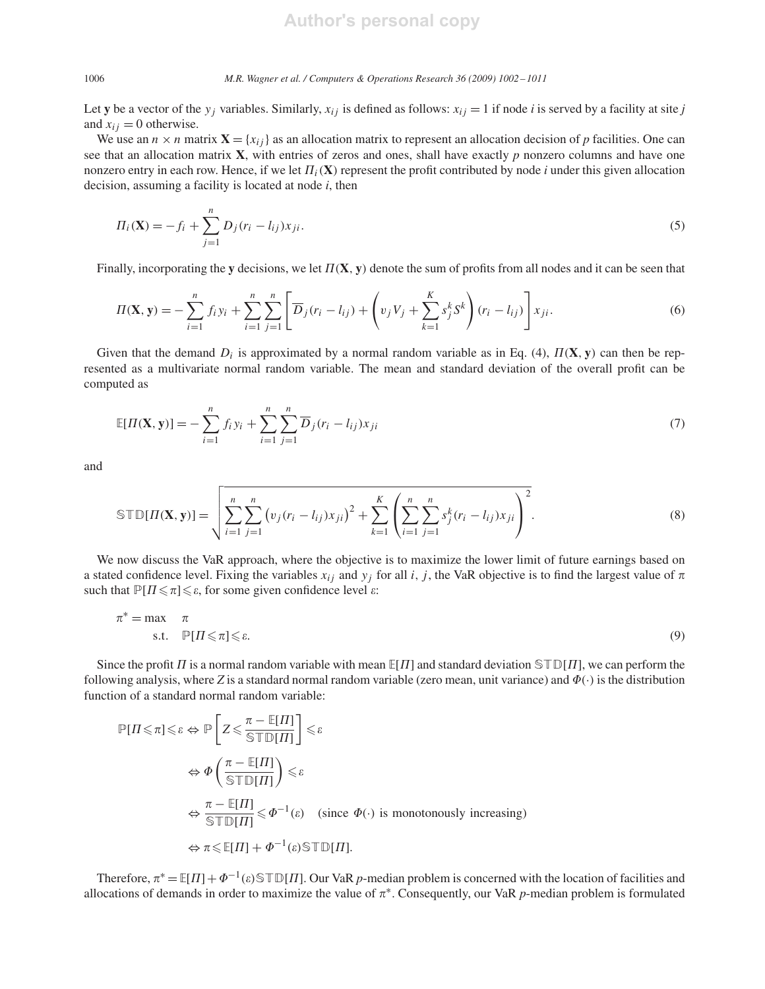1006 *M.R. Wagner et al. / Computers & Operations Research 36 (2009) 1002 – 1011*

Let **y** be a vector of the  $y_j$  variables. Similarly,  $x_{ij}$  is defined as follows:  $x_{ij} = 1$  if node *i* is served by a facility at site *j* and  $x_{ij} = 0$  otherwise.

We use an  $n \times n$  matrix  $\mathbf{X} = \{x_{ij}\}\$ as an allocation matrix to represent an allocation decision of p facilities. One can see that an allocation matrix **X**, with entries of zeros and ones, shall have exactly *p* nonzero columns and have one nonzero entry in each row. Hence, if we let  $\Pi_i(\mathbf{X})$  represent the profit contributed by node *i* under this given allocation decision, assuming a facility is located at node *i*, then

$$
\Pi_i(\mathbf{X}) = -f_i + \sum_{j=1}^n D_j (r_i - l_{ij}) x_{ji}.
$$
\n(5)

Finally, incorporating the y decisions, we let  $\Pi(X, y)$  denote the sum of profits from all nodes and it can be seen that

$$
\Pi(\mathbf{X}, \mathbf{y}) = -\sum_{i=1}^{n} f_i y_i + \sum_{i=1}^{n} \sum_{j=1}^{n} \left[ \overline{D}_j (r_i - l_{ij}) + \left( v_j V_j + \sum_{k=1}^{K} s_j^k S^k \right) (r_i - l_{ij}) \right] x_{ji}.
$$
 (6)

Given that the demand  $D_i$  is approximated by a normal random variable as in Eq. (4),  $\Pi(\mathbf{X}, \mathbf{y})$  can then be represented as a multivariate normal random variable. The mean and standard deviation of the overall profit can be computed as

$$
\mathbb{E}[H(\mathbf{X}, \mathbf{y})] = -\sum_{i=1}^{n} f_i y_i + \sum_{i=1}^{n} \sum_{j=1}^{n} \overline{D}_j (r_i - l_{ij}) x_{ji}
$$
(7)

and

$$
\mathbb{STD}[H(\mathbf{X}, \mathbf{y})] = \sqrt{\sum_{i=1}^{n} \sum_{j=1}^{n} (v_j (r_i - l_{ij}) x_{ji})^2 + \sum_{k=1}^{K} \left( \sum_{i=1}^{n} \sum_{j=1}^{n} s_j^k (r_i - l_{ij}) x_{ji} \right)^2}.
$$
\n(8)

We now discuss the VaR approach, where the objective is to maximize the lower limit of future earnings based on a stated confidence level. Fixing the variables  $x_{ij}$  and  $y_j$  for all i, j, the VaR objective is to find the largest value of  $\pi$ such that  $P[T \leq \pi] \leq \varepsilon$ , for some given confidence level  $\varepsilon$ :

$$
\pi^* = \max \quad \pi
$$
  
s.t.  $\mathbb{P}[H \leq \pi] \leq \varepsilon.$  (9)

Since the profit  $\Pi$  is a normal random variable with mean  $E[\Pi]$  and standard deviation  $\Im \mathbb{D}[\Pi]$ , we can perform the following analysis, where *Z* is a standard normal random variable (zero mean, unit variance) and  $\Phi(\cdot)$  is the distribution function of a standard normal random variable:

$$
\mathbb{P}[H \leq \pi] \leq \varepsilon \Leftrightarrow \mathbb{P}\left[Z \leq \frac{\pi - \mathbb{E}[H]}{\Im \mathbb{T} \mathbb{D}[H]}\right] \leq \varepsilon
$$
  

$$
\Leftrightarrow \Phi\left(\frac{\pi - \mathbb{E}[H]}{\Im \mathbb{T} \mathbb{D}[H]}\right) \leq \varepsilon
$$
  

$$
\Leftrightarrow \frac{\pi - \mathbb{E}[H]}{\Im \mathbb{T} \mathbb{D}[H]} \leq \Phi^{-1}(\varepsilon) \quad \text{(since } \Phi(\cdot) \text{ is monotonously increasing)}
$$
  

$$
\Leftrightarrow \pi \leq \mathbb{E}[H] + \Phi^{-1}(\varepsilon) \mathbb{S} \mathbb{T} \mathbb{D}[H].
$$

Therefore,  $\pi^* = \mathbb{E}[H] + \Phi^{-1}(\varepsilon)$  STD[*H*]. Our VaR *p*-median problem is concerned with the location of facilities and allocations of demands in order to maximize the value of  $\pi^*$ . Consequently, our VaR *p*-median problem is formulated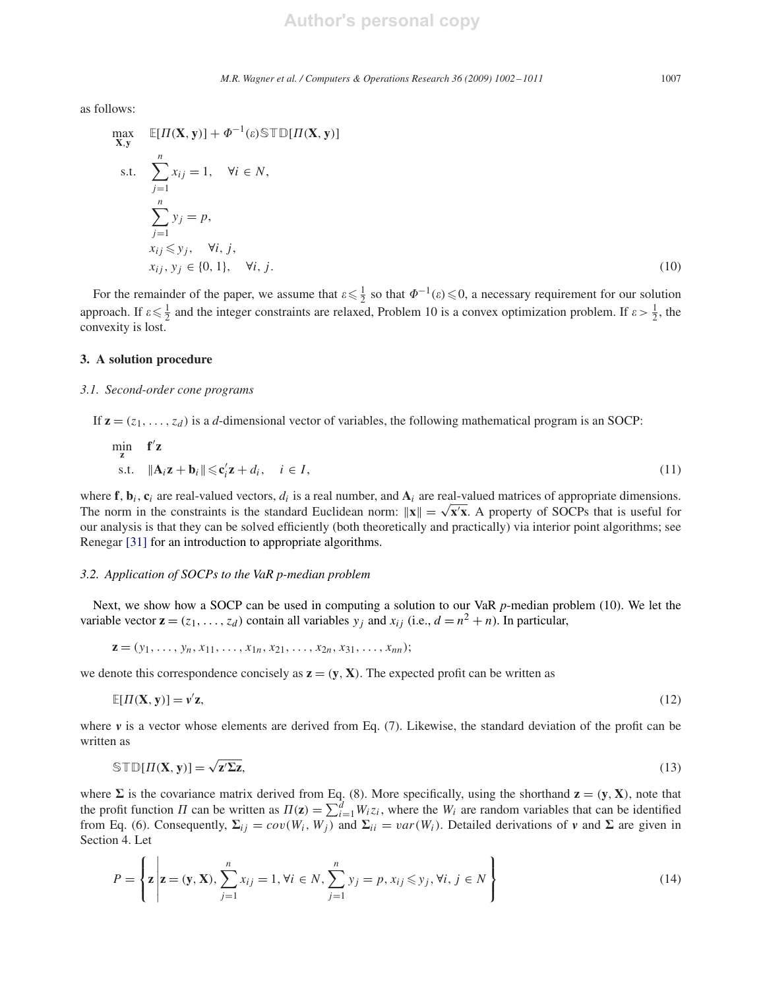as follows:

$$
\max_{\mathbf{X}, \mathbf{y}} \mathbb{E}[H(\mathbf{X}, \mathbf{y})] + \Phi^{-1}(\varepsilon) \mathbb{S} \mathbb{T} \mathbb{D}[H(\mathbf{X}, \mathbf{y})]
$$
  
s.t. 
$$
\sum_{j=1}^{n} x_{ij} = 1, \quad \forall i \in N,
$$

$$
\sum_{j=1}^{n} y_j = p,
$$

$$
x_{ij} \leq y_j, \quad \forall i, j,
$$

$$
x_{ij}, y_j \in \{0, 1\}, \quad \forall i, j.
$$
 (10)

For the remainder of the paper, we assume that  $\epsilon \leq \frac{1}{2}$  so that  $\Phi^{-1}(\epsilon) \leq 0$ , a necessary requirement for our solution approach. If  $\varepsilon \le \frac{1}{2}$  and the integer constraints are relaxed, Problem 10 is a convex optimization problem. If  $\varepsilon > \frac{1}{2}$ , the convexity is lost.

#### **3. A solution procedure**

#### *3.1. Second-order cone programs*

If  $z = (z_1, \ldots, z_d)$  is a *d*-dimensional vector of variables, the following mathematical program is an SOCP:

$$
\min_{\mathbf{z}} \quad \mathbf{f}'\mathbf{z}
$$
\n
$$
\text{s.t.} \quad \|\mathbf{A}_i \mathbf{z} + \mathbf{b}_i\| \leqslant \mathbf{c}_i' \mathbf{z} + d_i, \quad i \in I,
$$
\n
$$
(11)
$$

where  $f$ ,  $b_i$ ,  $c_i$  are real-valued vectors,  $d_i$  is a real number, and  $A_i$  are real-valued matrices of appropriate dimensions. The norm in the constraints is the standard Euclidean norm:  $\|\mathbf{x}\| = \sqrt{\mathbf{x}'\mathbf{x}}$ . A property of SOCPs that is useful for our analysis is that they can be solved efficiently (both theoretically and practically) via interior point algorithms; see Renegar [31] for an introduction to appropriate algorithms.

#### *3.2. Application of SOCPs to the VaR p-median problem*

Next, we show how a SOCP can be used in computing a solution to our VaR *p*-median problem (10). We let the variable vector  $\mathbf{z} = (z_1, \dots, z_d)$  contain all variables  $y_j$  and  $x_{ij}$  (i.e.,  $d = n^2 + n$ ). In particular,

$$
\mathbf{z}=(y_1,\ldots,y_n,x_{11},\ldots,x_{1n},x_{21},\ldots,x_{2n},x_{31},\ldots,x_{nn});
$$

we denote this correspondence concisely as  $z = (y, X)$ . The expected profit can be written as

$$
\mathbb{E}[H(\mathbf{X}, \mathbf{y})] = \mathbf{v}'\mathbf{z},\tag{12}
$$

where  $\nu$  is a vector whose elements are derived from Eq. (7). Likewise, the standard deviation of the profit can be written as

$$
\mathcal{STD}[H(\mathbf{X}, \mathbf{y})] = \sqrt{\mathbf{z}' \Sigma \mathbf{z}},\tag{13}
$$

where  $\Sigma$  is the covariance matrix derived from Eq. (8). More specifically, using the shorthand  $\mathbf{z} = (\mathbf{y}, \mathbf{X})$ , note that the profit function  $\Pi$  can be written as  $\Pi(z) = \sum_{i=1}^{d} W_i z_i$ , where the  $W_i$  are random variables that can be identified from Eq. (6). Consequently,  $\Sigma_{ij} = cov(W_i, W_j)$  and  $\Sigma_{ii} = var(W_i)$ . Detailed derivations of v and  $\Sigma$  are given in Section 4. Let

$$
P = \left\{ \mathbf{z} \middle| \mathbf{z} = (\mathbf{y}, \mathbf{X}), \sum_{j=1}^{n} x_{ij} = 1, \forall i \in N, \sum_{j=1}^{n} y_j = p, x_{ij} \leqslant y_j, \forall i, j \in N \right\}
$$
(14)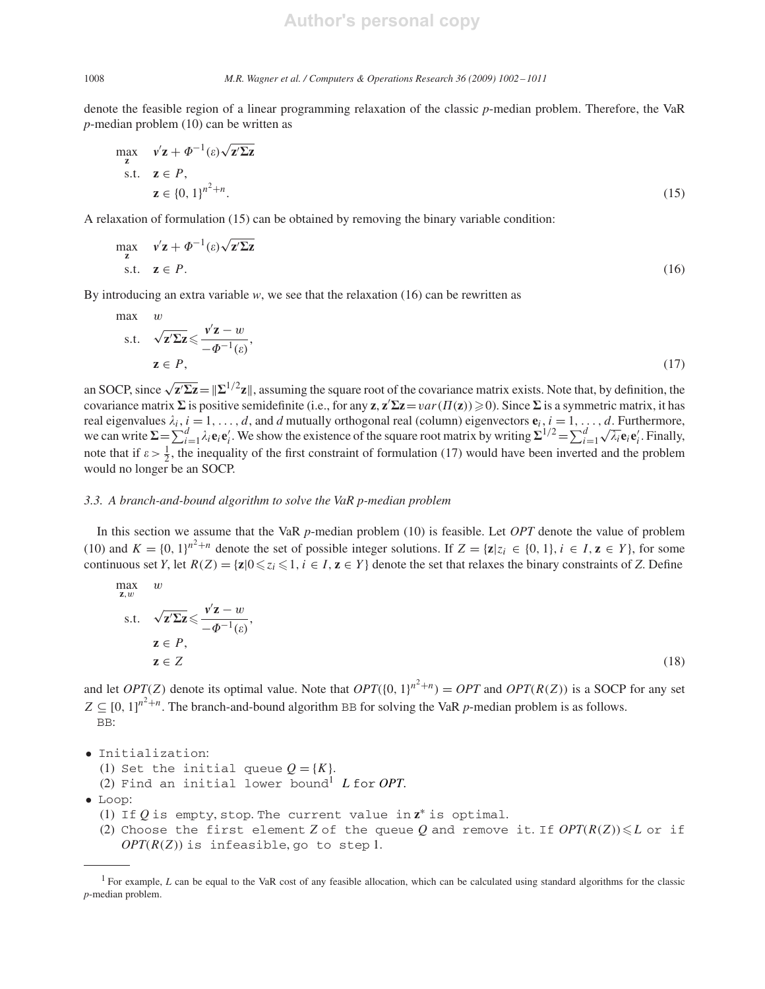denote the feasible region of a linear programming relaxation of the classic *p*-median problem. Therefore, the VaR *p*-median problem (10) can be written as

$$
\max_{\mathbf{z}} \quad \mathbf{v}'\mathbf{z} + \Phi^{-1}(\varepsilon) \sqrt{\mathbf{z}' \Sigma \mathbf{z}}
$$
\n
$$
\text{s.t.} \quad \mathbf{z} \in P,
$$
\n
$$
\mathbf{z} \in \{0, 1\}^{n^2 + n}.
$$
\n
$$
(15)
$$

A relaxation of formulation (15) can be obtained by removing the binary variable condition:

$$
\max_{\mathbf{z}} \quad \mathbf{v}'\mathbf{z} + \Phi^{-1}(\varepsilon) \sqrt{\mathbf{z}' \Sigma \mathbf{z}}
$$
\n
$$
\text{s.t.} \quad \mathbf{z} \in P. \tag{16}
$$

By introducing an extra variable *w*, we see that the relaxation (16) can be rewritten as

$$
\begin{aligned}\n\max \quad & w \\
\text{s.t.} \quad & \sqrt{\mathbf{z}' \Sigma \mathbf{z}} \leq \frac{\mathbf{v}' \mathbf{z} - w}{-\Phi^{-1}(\varepsilon)}, \\
& \mathbf{z} \in P,\n\end{aligned} \tag{17}
$$

an SOCP, since  $\sqrt{\mathbf{z}'\Sigma\mathbf{z}} = ||\Sigma^{1/2}\mathbf{z}||$ , assuming the square root of the covariance matrix exists. Note that, by definition, the covariance matrix  $\Sigma$  is positive semidefinite (i.e., for any **z**,  $\mathbf{z}'\Sigma \mathbf{z} = var(\Pi(\mathbf{z})) \ge 0$ ). Since  $\Sigma$  is a symmetric matrix, it has real eigenvalues  $\lambda_i$ ,  $i = 1, ..., d$ , and *d* mutually orthogonal real (column) eigenvectors  $\mathbf{e}_i$ ,  $i = 1, ..., d$ . Furthermore, we can write  $\Sigma = \sum_{i=1}^d \lambda_i \mathbf{e}_i \mathbf{e}'_i$ . We show the existence of the square root matrix by writing  $\Sigma^{1/2} = \sum_{i=1}^d \lambda_i$  $\sqrt{\lambda_i}$ **e**<sub>i</sub>**e**<sup> $\prime$ </sup><sub>i</sub>. Finally, note that if  $\varepsilon > \frac{1}{2}$ , the inequality of the first constraint of formulation (17) would have been inverted and the problem would no longer be an SOCP.

# *3.3. A branch-and-bound algorithm to solve the VaR p-median problem*

In this section we assume that the VaR *p*-median problem (10) is feasible. Let *OPT* denote the value of problem (10) and  $K = \{0, 1\}^{n^2+n}$  denote the set of possible integer solutions. If  $Z = \{z | z_i \in \{0, 1\}, i \in I, z \in Y\}$ , for some continuous set *Y*, let  $R(Z) = \{z | 0 \leq z_i \leq 1, i \in I, z \in Y\}$  denote the set that relaxes the binary constraints of *Z*. Define

$$
\max_{\mathbf{z},w} \quad w
$$
\n
$$
\text{s.t.} \quad \sqrt{\mathbf{z}'\Sigma\mathbf{z}} \leq \frac{v'\mathbf{z} - w}{-\Phi^{-1}(\varepsilon)},
$$
\n
$$
\mathbf{z} \in P,
$$
\n
$$
\mathbf{z} \in Z
$$
\n
$$
(18)
$$

and let *OPT*(*Z*) denote its optimal value. Note that *OPT*({0, 1}<sup>n<sup>2+n</sup>) = *OPT* and *OPT*(*R*(*Z*)) is a SOCP for any set</sup>  $Z \subseteq [0, 1]^{n^2+n}$ . The branch-and-bound algorithm BB for solving the VaR *p*-median problem is as follows. BB:

• Initialization:

 $w$ 

- (1) Set the initial queue  $Q = \{K\}.$
- (2) Find an initial lower bound<sup>1</sup>  $L$  for  $OPT$ .
- Loop:
	- (1) If *Q* is empty, stop. The current value in **z** ∗ is optimal.
	- (2) Choose the first element *Z* of the queue *Q* and remove it. If  $OPT(R(Z)) \leq L$  or if  $OPT(R(Z))$  is infeasible, go to step 1.

<sup>&</sup>lt;sup>1</sup> For example, *L* can be equal to the VaR cost of any feasible allocation, which can be calculated using standard algorithms for the classic *p*-median problem.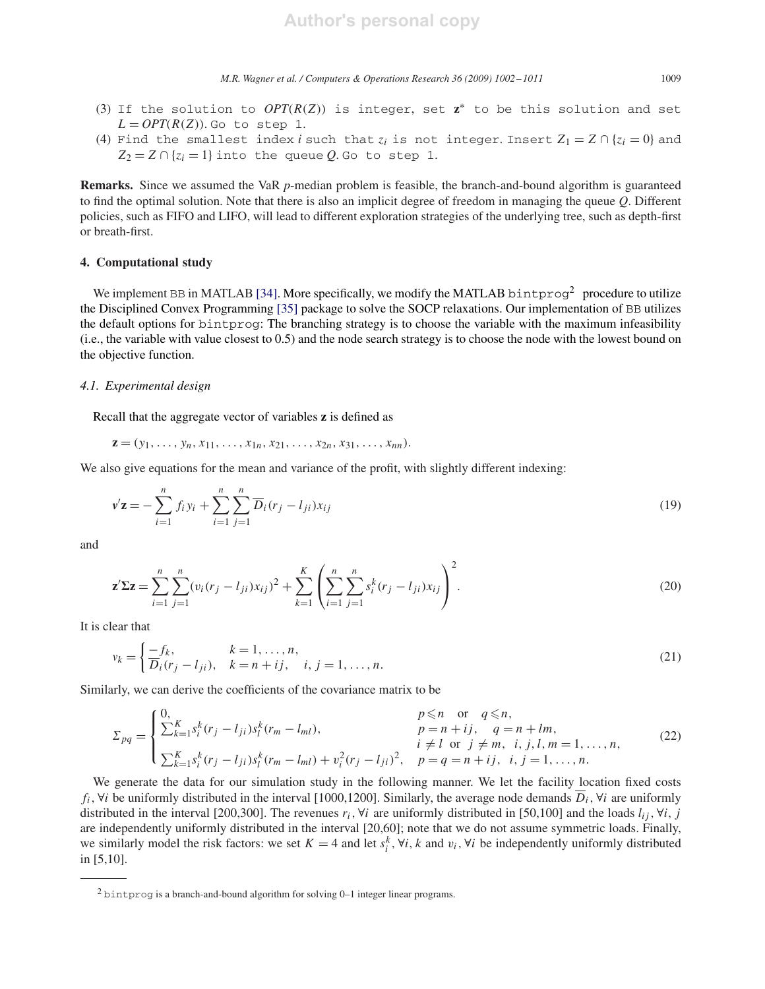*M.R. Wagner et al. / Computers & Operations Research 36 (2009) 1002 – 1011* 1009

- (3) If the solution to *OPT*(R(Z)) is integer, set **z** ∗ to be this solution and set  $L = OPT(R(Z))$ . Go to step 1.
- (4) Find the smallest index *i* such that  $z_i$  is not integer. Insert  $Z_1 = Z \cap \{z_i = 0\}$  and  $Z_2 = Z \cap \{z_i = 1\}$  into the queue *Q*. Go to step 1.

**Remarks.** Since we assumed the VaR *p*-median problem is feasible, the branch-and-bound algorithm is guaranteed to find the optimal solution. Note that there is also an implicit degree of freedom in managing the queue *Q*. Different policies, such as FIFO and LIFO, will lead to different exploration strategies of the underlying tree, such as depth-first or breath-first.

#### **4. Computational study**

We implement BB in MATLAB [34]. More specifically, we modify the MATLAB bintprog<sup>2</sup> procedure to utilize the Disciplined Convex Programming [35] package to solve the SOCP relaxations. Our implementation of BB utilizes the default options for bintprog: The branching strategy is to choose the variable with the maximum infeasibility (i.e., the variable with value closest to 0.5) and the node search strategy is to choose the node with the lowest bound on the objective function.

# *4.1. Experimental design*

Recall that the aggregate vector of variables **z** is defined as

$$
\mathbf{z} = (y_1, \ldots, y_n, x_{11}, \ldots, x_{1n}, x_{21}, \ldots, x_{2n}, x_{31}, \ldots, x_{nn}).
$$

We also give equations for the mean and variance of the profit, with slightly different indexing:

$$
\mathbf{v}'\mathbf{z} = -\sum_{i=1}^{n} f_i y_i + \sum_{i=1}^{n} \sum_{j=1}^{n} \overline{D}_i (r_j - l_{ji}) x_{ij}
$$
(19)

and

$$
\mathbf{z}'\mathbf{\Sigma}\mathbf{z} = \sum_{i=1}^{n} \sum_{j=1}^{n} (v_i (r_j - l_{ji}) x_{ij})^2 + \sum_{k=1}^{K} \left( \sum_{i=1}^{n} \sum_{j=1}^{n} s_i^k (r_j - l_{ji}) x_{ij} \right)^2.
$$
 (20)

It is clear that

$$
v_k = \begin{cases} \frac{-fk}{D_i(r_j - l_{ji})}, & k = n + ij, \quad i, j = 1, ..., n. \\ \end{cases}
$$
 (21)

Similarly, we can derive the coefficients of the covariance matrix to be

$$
\Sigma_{pq} = \begin{cases}\n0, & p \le n \text{ or } q \le n, \\
\sum_{k=1}^{K} s_i^k (r_j - l_{ji}) s_l^k (r_m - l_{ml}), & p = n + ij, q = n + lm, \\
\sum_{k=1}^{K} s_i^k (r_j - l_{ji}) s_l^k (r_m - l_{ml}) + v_i^2 (r_j - l_{ji})^2, & p = q = n + ij, i, j = 1, ..., n.\n\end{cases}
$$
\n(22)

We generate the data for our simulation study in the following manner. We let the facility location fixed costs f<sub>i</sub>, ∀i be uniformly distributed in the interval [1000,1200]. Similarly, the average node demands  $D_i$ , ∀i are uniformly distributed in the interval [200,300]. The revenues  $r_i$ ,  $\forall i$  are uniformly distributed in [50,100] and the loads  $l_{ij}$ ,  $\forall i$ , j are independently uniformly distributed in the interval [20,60]; note that we do not assume symmetric loads. Finally, we similarly model the risk factors: we set  $K = 4$  and let  $s_i^k$ ,  $\forall i$ ,  $k$  and  $v_i$ ,  $\forall i$  be independently uniformly distributed in [5,10].

 $2$  bintprog is a branch-and-bound algorithm for solving 0–1 integer linear programs.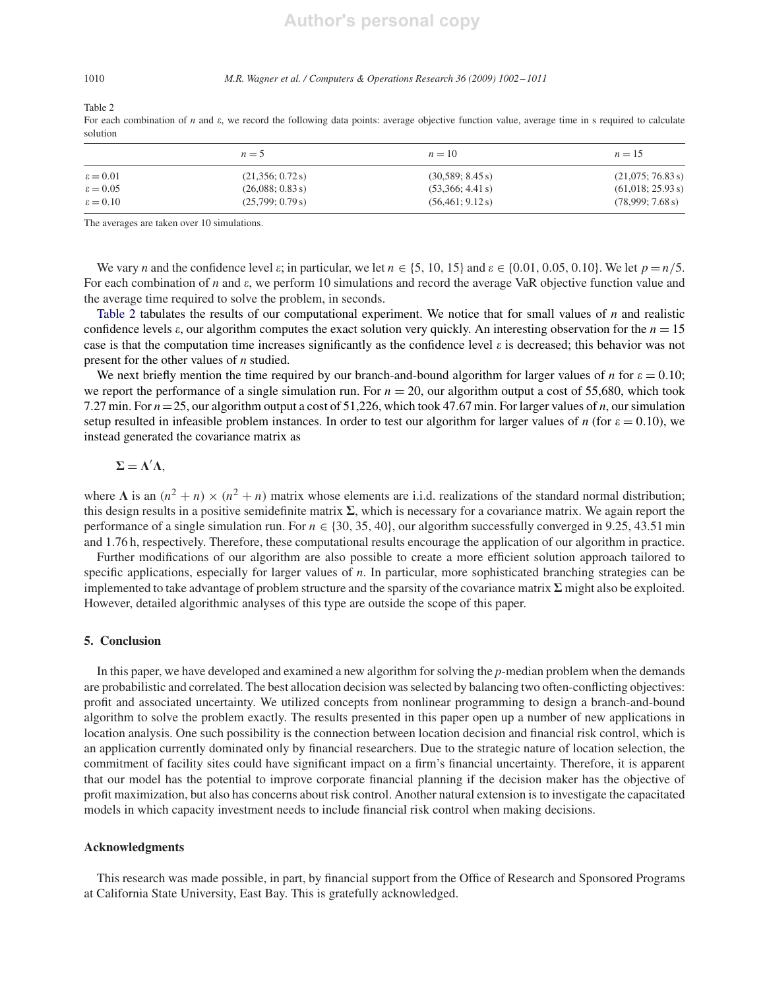|                   | $n=5$            | $n=10$           | $n=15$            |
|-------------------|------------------|------------------|-------------------|
| $\epsilon = 0.01$ | (21,356; 0.72 s) | (30,589; 8.45s)  | (21,075; 76.83 s) |
| $\epsilon = 0.05$ | (26.088; 0.83s)  | (53,366; 4.41 s) | (61,018; 25.93 s) |
| $\epsilon = 0.10$ | (25,799; 0.79 s) | (56,461; 9.12s)  | (78,999; 7.68 s)  |

For each combination of *n* and  $\varepsilon$ , we record the following data points: average objective function value, average time in s required to calculate solution

The averages are taken over 10 simulations.

We vary *n* and the confidence level  $\varepsilon$ ; in particular, we let  $n \in \{5, 10, 15\}$  and  $\varepsilon \in \{0.01, 0.05, 0.10\}$ . We let  $p = n/5$ . For each combination of *n* and e, we perform 10 simulations and record the average VaR objective function value and the average time required to solve the problem, in seconds.

Table 2 tabulates the results of our computational experiment. We notice that for small values of *n* and realistic confidence levels  $\varepsilon$ , our algorithm computes the exact solution very quickly. An interesting observation for the  $n = 15$ case is that the computation time increases significantly as the confidence level  $\varepsilon$  is decreased; this behavior was not present for the other values of *n* studied.

We next briefly mention the time required by our branch-and-bound algorithm for larger values of *n* for  $\varepsilon = 0.10$ ; we report the performance of a single simulation run. For  $n = 20$ , our algorithm output a cost of 55,680, which took 7.27 min. For n=25, our algorithm output a cost of 51,226, which took 47.67 min. For larger values of *n*, our simulation setup resulted in infeasible problem instances. In order to test our algorithm for larger values of *n* (for  $\varepsilon = 0.10$ ), we instead generated the covariance matrix as

$$
\Sigma = \Lambda' \Lambda,
$$

where  $\Lambda$  is an  $(n^2 + n) \times (n^2 + n)$  matrix whose elements are i.i.d. realizations of the standard normal distribution; this design results in a positive semidefinite matrix  $\Sigma$ , which is necessary for a covariance matrix. We again report the performance of a single simulation run. For  $n \in \{30, 35, 40\}$ , our algorithm successfully converged in 9.25, 43.51 min and 1.76 h, respectively. Therefore, these computational results encourage the application of our algorithm in practice.

Further modifications of our algorithm are also possible to create a more efficient solution approach tailored to specific applications, especially for larger values of *n*. In particular, more sophisticated branching strategies can be implemented to take advantage of problem structure and the sparsity of the covariance matrix  $\Sigma$  might also be exploited. However, detailed algorithmic analyses of this type are outside the scope of this paper.

# **5. Conclusion**

In this paper, we have developed and examined a new algorithm for solving the *p*-median problem when the demands are probabilistic and correlated. The best allocation decision was selected by balancing two often-conflicting objectives: profit and associated uncertainty. We utilized concepts from nonlinear programming to design a branch-and-bound algorithm to solve the problem exactly. The results presented in this paper open up a number of new applications in location analysis. One such possibility is the connection between location decision and financial risk control, which is an application currently dominated only by financial researchers. Due to the strategic nature of location selection, the commitment of facility sites could have significant impact on a firm's financial uncertainty. Therefore, it is apparent that our model has the potential to improve corporate financial planning if the decision maker has the objective of profit maximization, but also has concerns about risk control. Another natural extension is to investigate the capacitated models in which capacity investment needs to include financial risk control when making decisions.

# **Acknowledgments**

This research was made possible, in part, by financial support from the Office of Research and Sponsored Programs at California State University, East Bay. This is gratefully acknowledged.

Table 2